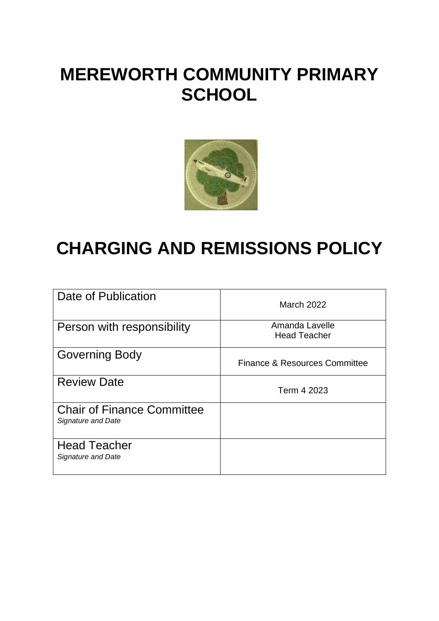# **MEREWORTH COMMUNITY PRIMARY SCHOOL**



# **CHARGING AND REMISSIONS POLICY**

| Date of Publication                                     | March 2022                            |
|---------------------------------------------------------|---------------------------------------|
| Person with responsibility                              | Amanda Lavelle<br><b>Head Teacher</b> |
| <b>Governing Body</b>                                   | Finance & Resources Committee         |
| <b>Review Date</b>                                      | Term 4 2023                           |
| <b>Chair of Finance Committee</b><br>Signature and Date |                                       |
| <b>Head Teacher</b><br>Signature and Date               |                                       |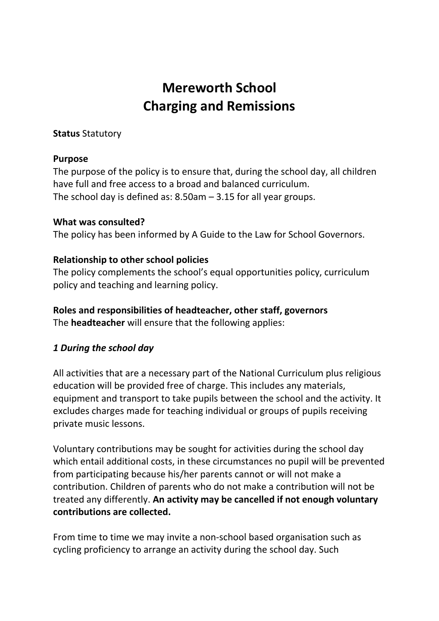# **Mereworth School Charging and Remissions**

#### **Status** Statutory

#### **Purpose**

The purpose of the policy is to ensure that, during the school day, all children have full and free access to a broad and balanced curriculum. The school day is defined as: 8.50am – 3.15 for all year groups.

#### **What was consulted?**

The policy has been informed by A Guide to the Law for School Governors.

#### **Relationship to other school policies**

The policy complements the school's equal opportunities policy, curriculum policy and teaching and learning policy.

# **Roles and responsibilities of headteacher, other staff, governors**

The **headteacher** will ensure that the following applies:

### *1 During the school day*

All activities that are a necessary part of the National Curriculum plus religious education will be provided free of charge. This includes any materials, equipment and transport to take pupils between the school and the activity. It excludes charges made for teaching individual or groups of pupils receiving private music lessons.

Voluntary contributions may be sought for activities during the school day which entail additional costs, in these circumstances no pupil will be prevented from participating because his/her parents cannot or will not make a contribution. Children of parents who do not make a contribution will not be treated any differently. **An activity may be cancelled if not enough voluntary contributions are collected.** 

From time to time we may invite a non-school based organisation such as cycling proficiency to arrange an activity during the school day. Such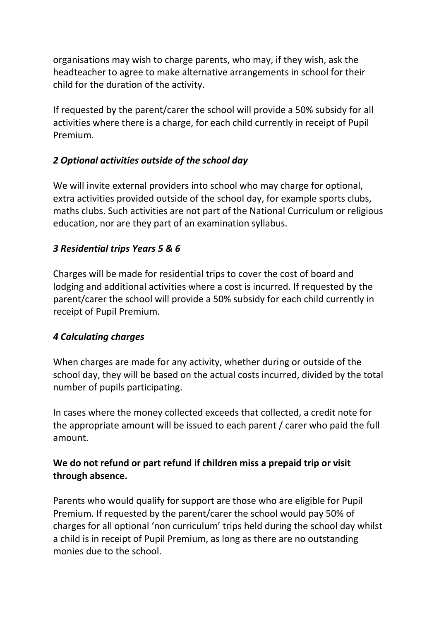organisations may wish to charge parents, who may, if they wish, ask the headteacher to agree to make alternative arrangements in school for their child for the duration of the activity.

If requested by the parent/carer the school will provide a 50% subsidy for all activities where there is a charge, for each child currently in receipt of Pupil Premium.

# *2 Optional activities outside of the school day*

We will invite external providers into school who may charge for optional, extra activities provided outside of the school day, for example sports clubs, maths clubs. Such activities are not part of the National Curriculum or religious education, nor are they part of an examination syllabus.

# *3 Residential trips Years 5 & 6*

Charges will be made for residential trips to cover the cost of board and lodging and additional activities where a cost is incurred. If requested by the parent/carer the school will provide a 50% subsidy for each child currently in receipt of Pupil Premium.

### *4 Calculating charges*

When charges are made for any activity, whether during or outside of the school day, they will be based on the actual costs incurred, divided by the total number of pupils participating.

In cases where the money collected exceeds that collected, a credit note for the appropriate amount will be issued to each parent / carer who paid the full amount.

# **We do not refund or part refund if children miss a prepaid trip or visit through absence.**

Parents who would qualify for support are those who are eligible for Pupil Premium. If requested by the parent/carer the school would pay 50% of charges for all optional 'non curriculum' trips held during the school day whilst a child is in receipt of Pupil Premium, as long as there are no outstanding monies due to the school.